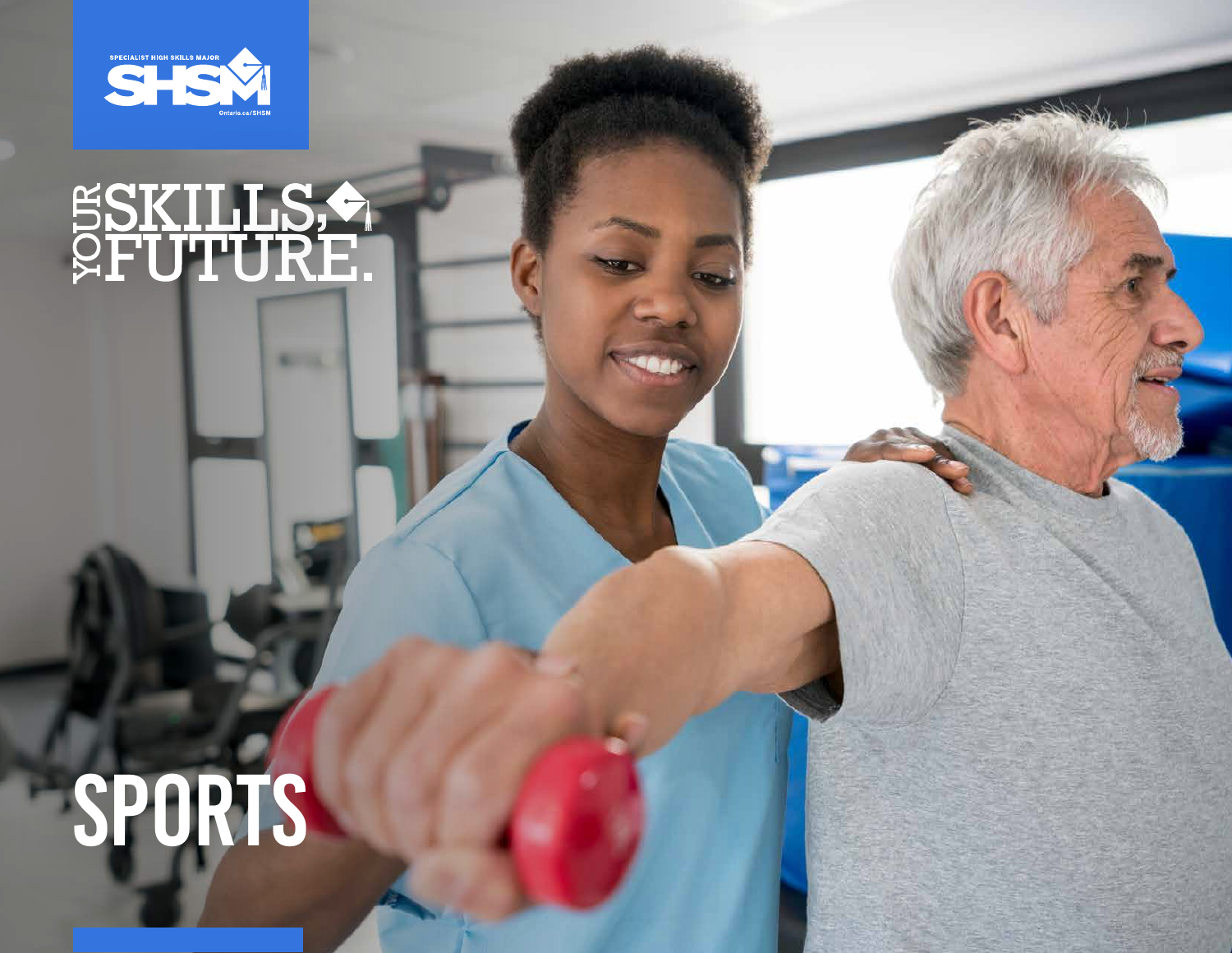

# SSKILLS,

# SPORTS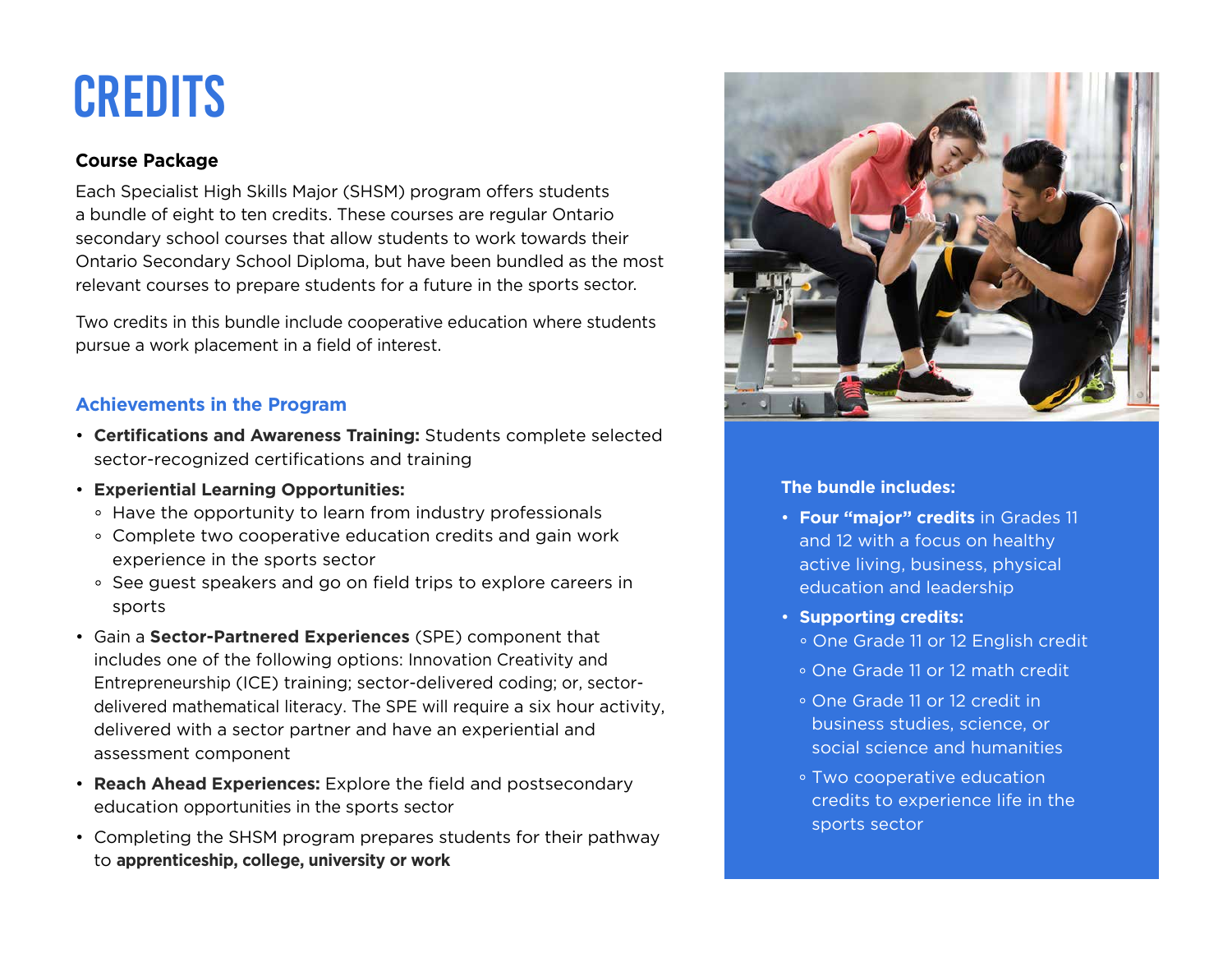## **CREDITS**

#### **Course Package**

Each Specialist High Skills Major (SHSM) program offers students a bundle of eight to ten credits. These courses are regular Ontario secondary school courses that allow students to work towards their Ontario Secondary School Diploma, but have been bundled as the most relevant courses to prepare students for a future in the sports sector.

Two credits in this bundle include cooperative education where students pursue a work placement in a field of interest.

#### **Achievements in the Program**

- **Certifications and Awareness Training:** Students complete selected sector-recognized certifications and training
- **Experiential Learning Opportunities:**
	- Have the opportunity to learn from industry professionals
	- Complete two cooperative education credits and gain work experience in the sports sector
	- See guest speakers and go on field trips to explore careers in sports
- Gain a **Sector-Partnered Experiences** (SPE) component that includes one of the following options: Innovation Creativity and Entrepreneurship (ICE) training; sector-delivered coding; or, sectordelivered mathematical literacy. The SPE will require a six hour activity, delivered with a sector partner and have an experiential and assessment component
- **Reach Ahead Experiences:** Explore the field and postsecondary education opportunities in the sports sector
- Completing the SHSM program prepares students for their pathway to **apprenticeship, college, university or work**



#### **The bundle includes:**

- **Four "major" credits** in Grades 11 and 12 with a focus on healthy active living, business, physical education and leadership
- **Supporting credits:**
	- One Grade 11 or 12 English credit
	- One Grade 11 or 12 math credit
	- One Grade 11 or 12 credit in business studies, science, or social science and humanities
	- Two cooperative education credits to experience life in the sports sector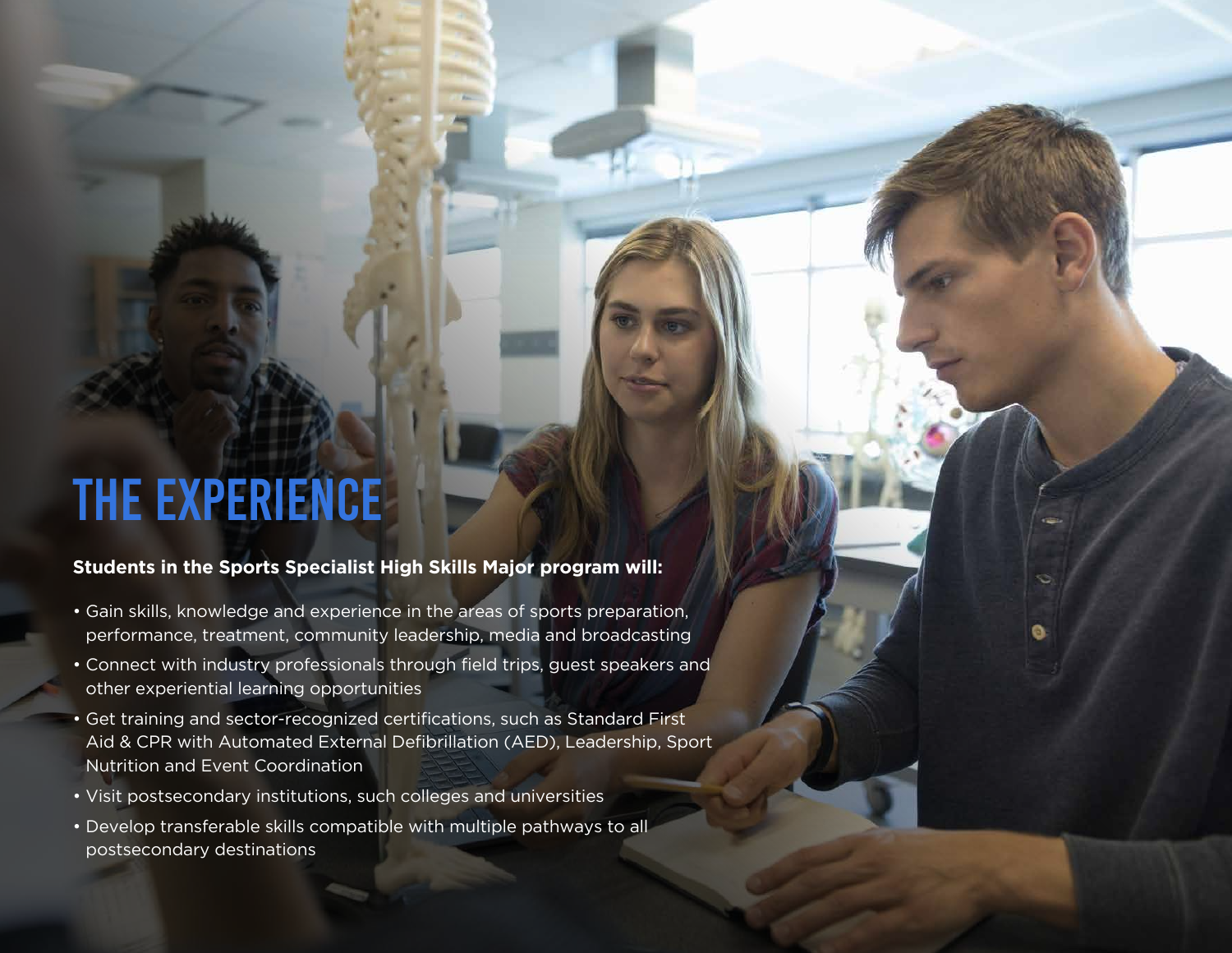## The Experience

### **Students in the Sports Specialist High Skills Major program will:**

- Gain skills, knowledge and experience in the areas of sports preparation, performance, treatment, community leadership, media and broadcasting
- Connect with industry professionals through field trips, guest speakers and other experiential learning opportunities
- Get training and sector-recognized certifications, such as Standard First Aid & CPR with Automated External Defibrillation (AED), Leadership, Sport Nutrition and Event Coordination
- Visit postsecondary institutions, such colleges and universities
- Develop transferable skills compatible with multiple pathways to all postsecondary destinations